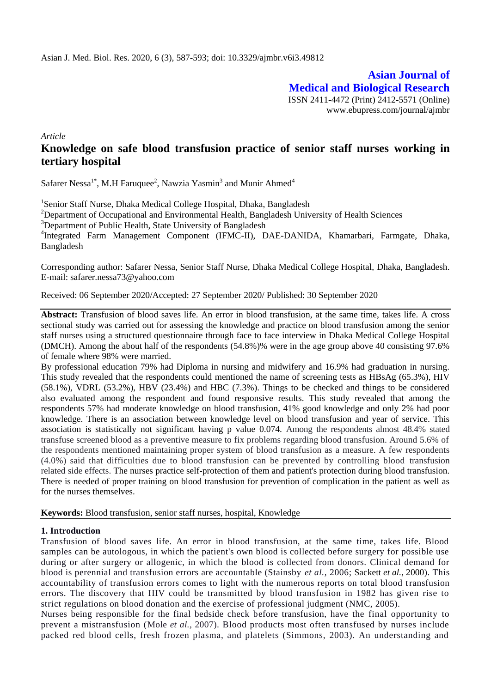**Asian Journal of Medical and Biological Research** ISSN 2411-4472 (Print) 2412-5571 (Online) www.ebupress.com/journal/ajmbr

*Article*

# **Knowledge on safe blood transfusion practice of senior staff nurses working in tertiary hospital**

Safarer Nessa<sup>1\*</sup>, M.H Faruquee<sup>2</sup>, Nawzia Yasmin<sup>3</sup> and Munir Ahmed<sup>4</sup>

<sup>1</sup>Senior Staff Nurse, Dhaka Medical College Hospital, Dhaka, Bangladesh

 $2D$ epartment of Occupational and Environmental Health, Bangladesh University of Health Sciences

<sup>3</sup>Department of Public Health, State University of Bangladesh

4 Integrated Farm Management Component (IFMC-II), DAE-DANIDA, Khamarbari, Farmgate, Dhaka, Bangladesh

Corresponding author: Safarer Nessa, Senior Staff Nurse, Dhaka Medical College Hospital, Dhaka, Bangladesh. E-mail: safarer.nessa73@yahoo.com

Received: 06 September 2020/Accepted: 27 September 2020/ Published: 30 September 2020

**Abstract:** Transfusion of blood saves life. An error in blood transfusion, at the same time, takes life. A cross sectional study was carried out for assessing the knowledge and practice on blood transfusion among the senior staff nurses using a structured questionnaire through face to face interview in Dhaka Medical College Hospital (DMCH). Among the about half of the respondents (54.8%)% were in the age group above 40 consisting 97.6% of female where 98% were married.

By professional education 79% had Diploma in nursing and midwifery and 16.9% had graduation in nursing. This study revealed that the respondents could mentioned the name of screening tests as HBsAg (65.3%), HIV (58.1%), VDRL (53.2%), HBV (23.4%) and HBC (7.3%). Things to be checked and things to be considered also evaluated among the respondent and found responsive results. This study revealed that among the respondents 57% had moderate knowledge on blood transfusion, 41% good knowledge and only 2% had poor knowledge. There is an association between knowledge level on blood transfusion and year of service. This association is statistically not significant having p value 0.074. Among the respondents almost 48.4% stated transfuse screened blood as a preventive measure to fix problems regarding blood transfusion. Around 5.6% of the respondents mentioned maintaining proper system of blood transfusion as a measure. A few respondents (4.0%) said that difficulties due to blood transfusion can be prevented by controlling blood transfusion related side effects. The nurses practice self-protection of them and patient's protection during blood transfusion. There is needed of proper training on blood transfusion for prevention of complication in the patient as well as for the nurses themselves.

**Keywords:** Blood transfusion, senior staff nurses, hospital, Knowledge

#### **1. Introduction**

Transfusion of blood saves life. An error in blood transfusion, at the same time, takes life. Blood samples can be autologous, in which the patient's own blood is collected before surgery for possible use during or after surgery or allogenic, in which the blood is collected from donors. Clinical demand for blood is perennial and transfusion errors are accountable (Stainsby *et al.,* 2006; Sackett *et al.,* 2000). This accountability of transfusion errors comes to light with the numerous reports on total blood transfusion errors. The discovery that HIV could be transmitted by blood transfusion in 1982 has given rise to strict regulations on blood donation and the exercise of professional judgment (NMC, 2005).

Nurses being responsible for the final bedside check before transfusion, have the final opportunity to prevent a mistransfusion (Mole *et al.,* 2007). Blood products most often transfused by nurses include packed red blood cells, fresh frozen plasma, and platelets (Simmons, 2003). An understanding and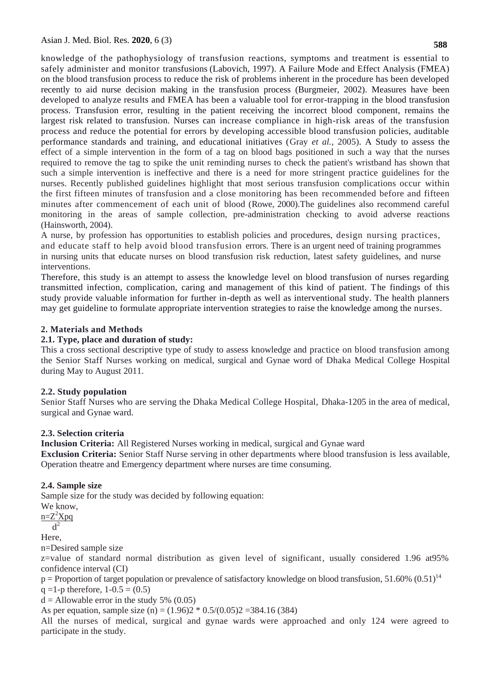knowledge of the pathophysiology of transfusion reactions, symptoms and treatment is essential to safely administer and monitor transfusions (Labovich, 1997). A Failure Mode and Effect Analysis (FMEA) on the blood transfusion process to reduce the risk of problems inherent in the procedure has been developed recently to aid nurse decision making in the transfusion process (Burgmeier, 2002). Measures have been developed to analyze results and FMEA has been a valuable tool for error-trapping in the blood transfusion process. Transfusion error, resulting in the patient receiving the incorrect blood component, remains the largest risk related to transfusion. Nurses can increase compliance in high-risk areas of the transfusion process and reduce the potential for errors by developing accessible blood transfusion policies, auditable performance standards and training, and educational initiatives (Gray *et al.,* 2005). A Study to assess the effect of a simple intervention in the form of a tag on blood bags positioned in such a way that the nurses required to remove the tag to spike the unit reminding nurses to check the patient's wristband has shown that such a simple intervention is ineffective and there is a need for more stringent practice guidelines for the nurses. Recently published guidelines highlight that most serious transfusion complications occur within the first fifteen minutes of transfusion and a close monitoring has been recommended before and fifteen minutes after commencement of each unit of blood (Rowe, 2000).The guidelines also recommend careful monitoring in the areas of sample collection, pre-administration checking to avoid adverse reactions (Hainsworth, 2004).

A nurse, by profession has opportunities to establish policies and procedures, design nursing practices, and educate staff to help avoid blood transfusion errors. There is an urgent need of training programmes in nursing units that educate nurses on blood transfusion risk reduction, latest safety guidelines, and nurse interventions.

Therefore, this study is an attempt to assess the knowledge level on blood transfusion of nurses regarding transmitted infection, complication, caring and management of this kind of patient. The findings of this study provide valuable information for further in-depth as well as interventional study. The health planners may get guideline to formulate appropriate intervention strategies to raise the knowledge among the nurses.

### **2. Materials and Methods**

### **2.1. Type, place and duration of study:**

This a cross sectional descriptive type of study to assess knowledge and practice on blood transfusion among the Senior Staff Nurses working on medical, surgical and Gynae word of Dhaka Medical College Hospital during May to August 2011.

#### **2.2. Study population**

Senior Staff Nurses who are serving the Dhaka Medical College Hospital, Dhaka-1205 in the area of medical, surgical and Gynae ward.

#### **2.3. Selection criteria**

**Inclusion Criteria:** All Registered Nurses working in medical, surgical and Gynae ward

**Exclusion Criteria:** Senior Staff Nurse serving in other departments where blood transfusion is less available, Operation theatre and Emergency department where nurses are time consuming.

## **2.4. Sample size**

Sample size for the study was decided by following equation:

We know,

 $n = Z^2 Xpq$ 

 $d^2$ 

Here,

n=Desired sample size

z=value of standard normal distribution as given level of significant, usually considered 1.96 at95% confidence interval (CI)

 $p =$  Proportion of target population or prevalence of satisfactory knowledge on blood transfusion, 51.60% (0.51)<sup>14</sup>

 $q = 1-p$  therefore,  $1-0.5 = (0.5)$ 

 $d =$  Allowable error in the study 5% (0.05)

As per equation, sample size (n) =  $(1.96)2 * 0.5/(0.05)2 = 384.16 (384)$ 

All the nurses of medical, surgical and gynae wards were approached and only 124 were agreed to participate in the study.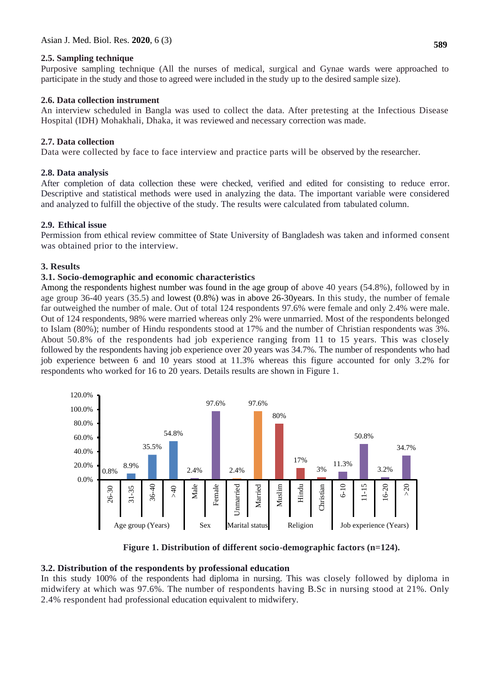#### **2.5. Sampling technique**

Purposive sampling technique (All the nurses of medical, surgical and Gynae wards were approached to participate in the study and those to agreed were included in the study up to the desired sample size).

### **2.6. Data collection instrument**

An interview scheduled in Bangla was used to collect the data. After pretesting at the Infectious Disease Hospital (IDH) Mohakhali, Dhaka, it was reviewed and necessary correction was made.

### **2.7. Data collection**

Data were collected by face to face interview and practice parts will be observed by the researcher.

### **2.8. Data analysis**

After completion of data collection these were checked, verified and edited for consisting to reduce error. Descriptive and statistical methods were used in analyzing the data. The important variable were considered and analyzed to fulfill the objective of the study. The results were calculated from tabulated column.

### **2.9. Ethical issue**

Permission from ethical review committee of State University of Bangladesh was taken and informed consent was obtained prior to the interview.

### **3. Results**

### **3.1. Socio-demographic and economic characteristics**

Among the respondents highest number was found in the age group of above 40 years (54.8%), followed by in age group 36-40 years (35.5) and lowest (0.8%) was in above 26-30years. In this study, the number of female far outweighed the number of male. Out of total 124 respondents 97.6% were female and only 2.4% were male. Out of 124 respondents, 98% were married whereas only 2% were unmarried. Most of the respondents belonged to Islam (80%); number of Hindu respondents stood at 17% and the number of Christian respondents was 3%. About 50.8% of the respondents had job experience ranging from 11 to 15 years. This was closely followed by the respondents having job experience over 20 years was 34.7%. The number of respondents who had job experience between 6 and 10 years stood at 11.3% whereas this figure accounted for only 3.2% for respondents who worked for 16 to 20 years. Details results are shown in Figure 1.



**Figure 1. Distribution of different socio-demographic factors (n=124).**

## **3.2. Distribution of the respondents by professional education**

In this study 100% of the respondents had diploma in nursing. This was closely followed by diploma in midwifery at which was 97.6%. The number of respondents having B.Sc in nursing stood at 21%. Only 2.4% respondent had professional education equivalent to midwifery.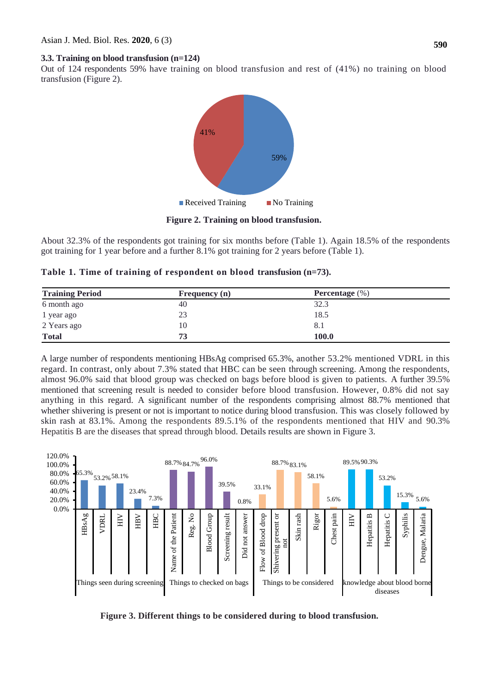#### **3.3. Training on blood transfusion (n=124)**

Out of 124 respondents 59% have training on blood transfusion and rest of (41%) no training on blood transfusion (Figure 2).



**Figure 2. Training on blood transfusion.**

About 32.3% of the respondents got training for six months before (Table 1). Again 18.5% of the respondents got training for 1 year before and a further 8.1% got training for 2 years before (Table 1).

| Table 1. Time of training of respondent on blood transfusion (n=73). |  |  |  |  |  |  |
|----------------------------------------------------------------------|--|--|--|--|--|--|
|----------------------------------------------------------------------|--|--|--|--|--|--|

| <b>Training Period</b> | Frequency $(n)$ | Percentage $(\%)$ |  |
|------------------------|-----------------|-------------------|--|
| 6 month ago            | 40              | 32.3              |  |
| 1 year ago             | 23              | 18.5              |  |
| 2 Years ago            | 10              | -8.1              |  |
| <b>Total</b>           | 73              | 100.0             |  |

A large number of respondents mentioning HBsAg comprised 65.3%, another 53.2% mentioned VDRL in this regard. In contrast, only about 7.3% stated that HBC can be seen through screening. Among the respondents, almost 96.0% said that blood group was checked on bags before blood is given to patients. A further 39.5% mentioned that screening result is needed to consider before blood transfusion. However, 0.8% did not say anything in this regard. A significant number of the respondents comprising almost 88.7% mentioned that whether shivering is present or not is important to notice during blood transfusion. This was closely followed by skin rash at 83.1%. Among the respondents 89.5.1% of the respondents mentioned that HIV and 90.3% Hepatitis B are the diseases that spread through blood. Details results are shown in Figure 3.



**Figure 3. Different things to be considered during to blood transfusion.**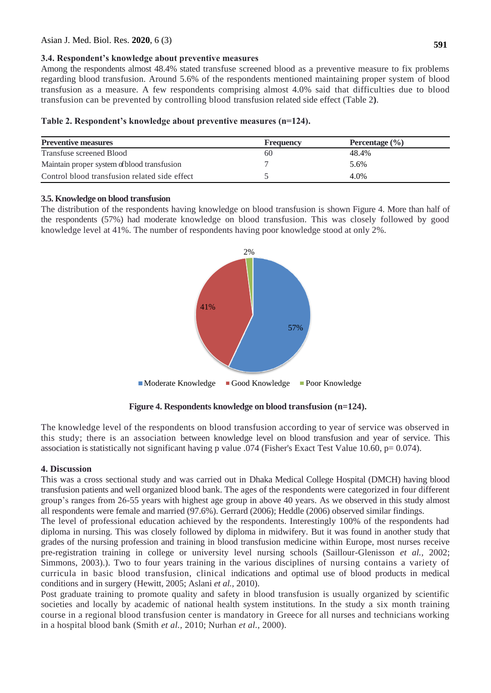#### Asian J. Med. Biol. Res. **2020**, 6 (3)

#### **3.4. Respondent's knowledge about preventive measures**

Among the respondents almost 48.4% stated transfuse screened blood as a preventive measure to fix problems regarding blood transfusion. Around 5.6% of the respondents mentioned maintaining proper system of blood transfusion as a measure. A few respondents comprising almost 4.0% said that difficulties due to blood transfusion can be prevented by controlling blood transfusion related side effect (Table 2**)**.

#### **Table 2. Respondent's knowledge about preventive measures (n=124).**

| <b>Preventive measures</b>                    | Frequency | Percentage $(\% )$ |
|-----------------------------------------------|-----------|--------------------|
| Transfuse screened Blood                      | 60        | 48.4%              |
| Maintain proper system of blood transfusion   |           | 5.6%               |
| Control blood transfusion related side effect |           | 4.0%               |

#### **3.5. Knowledge on blood transfusion**

The distribution of the respondents having knowledge on blood transfusion is shown Figure 4. More than half of the respondents (57%) had moderate knowledge on blood transfusion. This was closely followed by good knowledge level at 41%. The number of respondents having poor knowledge stood at only 2%.



 **Figure 4. Respondents knowledge on blood transfusion (n=124).**

The knowledge level of the respondents on blood transfusion according to year of service was observed in this study; there is an association between knowledge level on blood transfusion and year of service. This association is statistically not significant having p value .074 (Fisher's Exact Test Value 10.60, p= 0.074).

#### **4. Discussion**

This was a cross sectional study and was carried out in Dhaka Medical College Hospital (DMCH) having blood transfusion patients and well organized blood bank. The ages of the respondents were categorized in four different group's ranges from 26-55 years with highest age group in above 40 years. As we observed in this study almost all respondents were female and married (97.6%). Gerrard (2006); Heddle (2006) observed similar findings.

The level of professional education achieved by the respondents. Interestingly 100% of the respondents had diploma in nursing. This was closely followed by diploma in midwifery. But it was found in another study that grades of the nursing profession and training in blood transfusion medicine within Europe, most nurses receive pre-registration training in college or university level nursing schools (Saillour-Glenisson *et al.,* 2002; Simmons, 2003).). Two to four years training in the various disciplines of nursing contains a variety of curricula in basic blood transfusion, clinical indications and optimal use of blood products in medical conditions and in surgery (Hewitt, 2005; Aslani *et al.,* 2010).

Post graduate training to promote quality and safety in blood transfusion is usually organized by scientific societies and locally by academic of national health system institutions. In the study a six month training course in a regional blood transfusion center is mandatory in Greece for all nurses and technicians working in a hospital blood bank (Smith *et al.,* 2010; Nurhan *et al.,* 2000).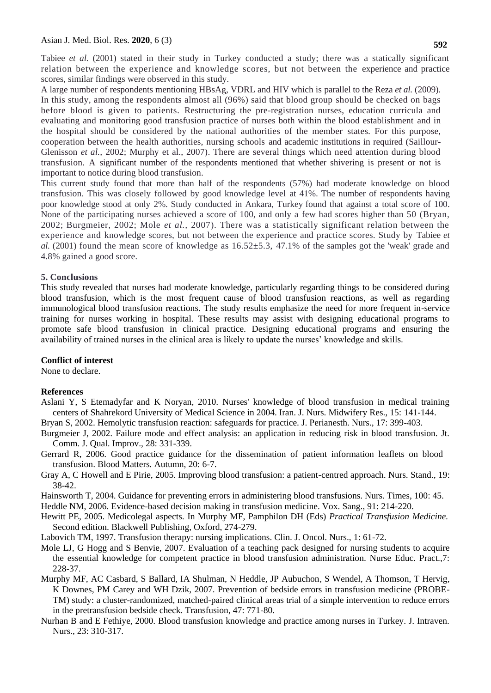Tabiee *et al.* (2001) stated in their study in Turkey conducted a study; there was a statically significant relation between the experience and knowledge scores, but not between the experience and practice scores, similar findings were observed in this study.

A large number of respondents mentioning HBsAg, VDRL and HIV which is parallel to the Reza *et al.* (2009). In this study, among the respondents almost all (96%) said that blood group should be checked on bags before blood is given to patients. Restructuring the pre-registration nurses, education curricula and evaluating and monitoring good transfusion practice of nurses both within the blood establishment and in the hospital should be considered by the national authorities of the member states. For this purpose, cooperation between the health authorities, nursing schools and academic institutions in required (Saillour-Glenisson *et al.,* 2002; Murphy et al., 2007). There are several things which need attention during blood transfusion. A significant number of the respondents mentioned that whether shivering is present or not is important to notice during blood transfusion.

This current study found that more than half of the respondents (57%) had moderate knowledge on blood transfusion. This was closely followed by good knowledge level at 41%. The number of respondents having poor knowledge stood at only 2%. Study conducted in Ankara, Turkey found that against a total score of 100. None of the participating nurses achieved a score of 100, and only a few had scores higher than 50 (Bryan, 2002; Burgmeier, 2002; Mole *et al.,* 2007). There was a statistically significant relation between the experience and knowledge scores, but not between the experience and practice scores. Study by Tabiee *et al.* (2001) found the mean score of knowledge as 16.52±5.3, 47.1% of the samples got the 'weak' grade and 4.8% gained a good score.

#### **5. Conclusions**

This study revealed that nurses had moderate knowledge, particularly regarding things to be considered during blood transfusion, which is the most frequent cause of blood transfusion reactions, as well as regarding immunological blood transfusion reactions. The study results emphasize the need for more frequent in-service training for nurses working in hospital. These results may assist with designing educational programs to promote safe blood transfusion in clinical practice. Designing educational programs and ensuring the availability of trained nurses in the clinical area is likely to update the nurses' knowledge and skills.

#### **Conflict of interest**

None to declare.

#### **References**

Aslani Y, S Etemadyfar and K Noryan, 2010. Nurses' knowledge of blood transfusion in medical training centers of Shahrekord University of Medical Science in 2004. Iran. J. Nurs. Midwifery Res., 15: 141-144.

Bryan S, 2002. Hemolytic transfusion reaction: safeguards for practice. J. Perianesth. Nurs., 17: 399-403.

- Burgmeier J, 2002. Failure mode and effect analysis: an application in reducing risk in blood transfusion. Jt. Comm. J. Qual. Improv., 28: 331-339.
- Gerrard R, 2006. Good practice guidance for the dissemination of patient information leaflets on blood transfusion. Blood Matters*.* Autumn, 20: 6-7.
- Gray A, C Howell and E Pirie, 2005. Improving blood transfusion: a patient-centred approach. Nurs. Stand., 19: 38-42.

Hainsworth T, 2004. Guidance for preventing errors in administering blood transfusions. Nurs. Times, 100: 45.

Heddle NM, 2006. Evidence-based decision making in transfusion medicine. Vox. Sang., 91: 214-220.

- Hewitt PE, 2005. Medicolegal aspects. In Murphy MF, Pamphilon DH (Eds) *Practical Transfusion Medicine.*  Second edition. Blackwell Publishing, Oxford, 274-279.
- Labovich TM, 1997. Transfusion therapy: nursing implications. Clin. J. Oncol. Nurs., 1: 61-72.
- Mole LJ, G Hogg and S Benvie, 2007. Evaluation of a teaching pack designed for nursing students to acquire the essential knowledge for competent practice in blood transfusion administration. Nurse Educ. Pract.,7: 228-37.
- Murphy MF, AC Casbard, S Ballard, IA Shulman, N Heddle, JP Aubuchon, S Wendel, A Thomson, T Hervig, K Downes, PM Carey and WH Dzik, 2007. Prevention of bedside errors in transfusion medicine (PROBE-TM) study: a cluster-randomized, matched-paired clinical areas trial of a simple intervention to reduce errors in the pretransfusion bedside check. Transfusion, 47: 771-80.
- Nurhan B and E Fethiye, 2000. Blood transfusion knowledge and practice among nurses in Turkey. J. Intraven. Nurs., 23: 310-317.